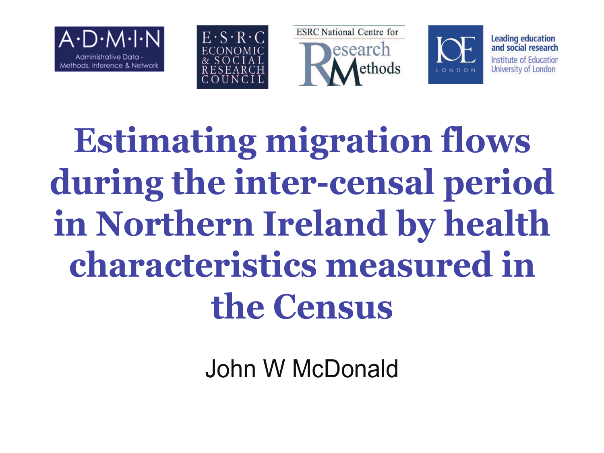







**Leading education** and social research Institute of Education University of London

**Estimating migration flows during the inter-censal period in Northern Ireland by health characteristics measured in the Census** 

John W McDonald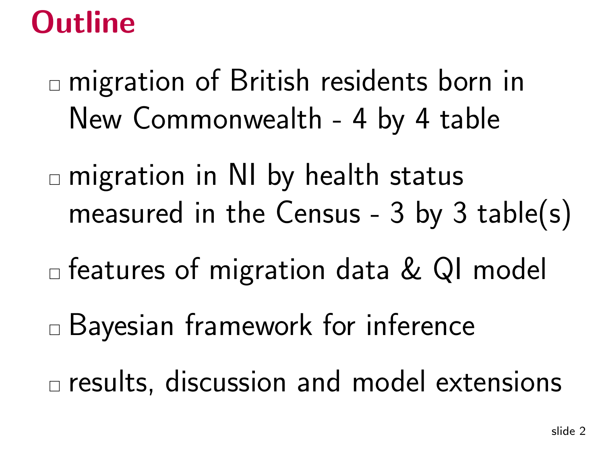# **Outline**

- $\Box$  migration of British residents born in New Commonwealth - <sup>4</sup> by <sup>4</sup> table
- $\textcolor{black}{\Box}$  migration in NI by health status measured in the Census - <sup>3</sup> by <sup>3</sup> table(s)
- $\textcolor{black}{\Box}$  features of migration data & QI model
- Bayesian framework for inference
- $\Box$  results, discussion and model extensions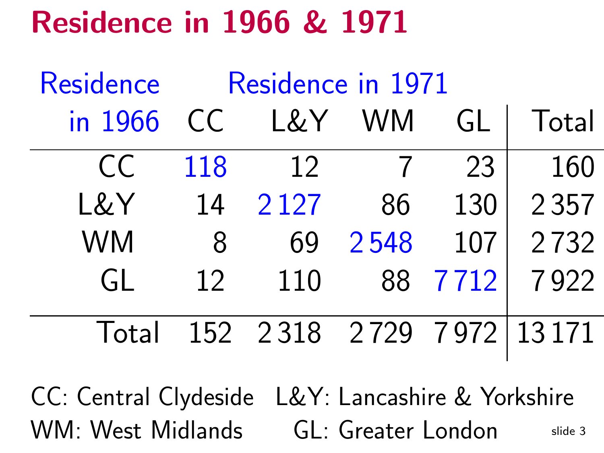# Residence in <sup>1966</sup> & <sup>1971</sup>

| Residence |     | Residence in 1971        |           |      |         |
|-----------|-----|--------------------------|-----------|------|---------|
| in 1966   | CC. | L&Y                      | <b>WM</b> | GL   | Total   |
| CC        | 118 | 12                       |           | 23   | 160     |
| L&Y       | 14  | 2 1 2 7                  | 86        | 130  | 2 3 5 7 |
| <b>WM</b> | 8   | 69                       | 2548      | 107  | 2732    |
| GL        | 12  | 110                      | 88        | 7712 | 7922    |
| Total     |     | 152 2318 2729 7972 13171 |           |      |         |

slide <sup>3</sup>CC: Central Clydeside L&Y: Lancashire & YorkshireWM: West Midlands GL: Greater London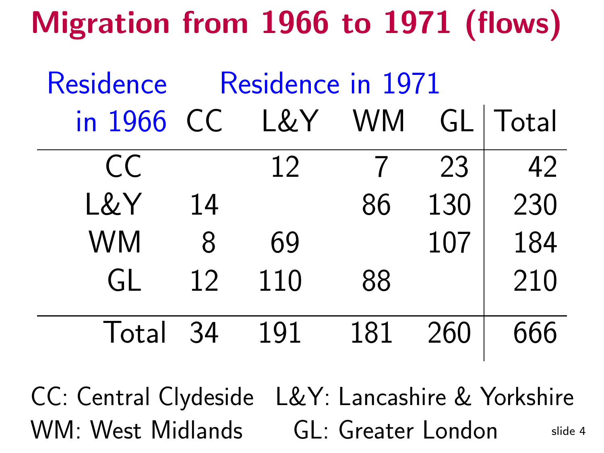# Migration from <sup>1966</sup> to <sup>1971</sup> (flows)

| Residence  |    | Residence in 1971 |     |     |            |
|------------|----|-------------------|-----|-----|------------|
| in 1966 CC |    | L&Y WM            |     |     | GL   Total |
| CC         |    | 12                |     | 23  | 42         |
| L&Y        | 14 |                   | 86  | 130 | 230        |
| <b>WM</b>  | 8  | 69                |     | 107 | 184        |
| GL         | 12 | 110               | 88  |     | 210        |
| Total 34   |    | 191               | 181 | 260 | 666        |

slide <sup>4</sup>CC: Central Clydeside L&Y: Lancashire & YorkshireWM: West Midlands GL: Greater London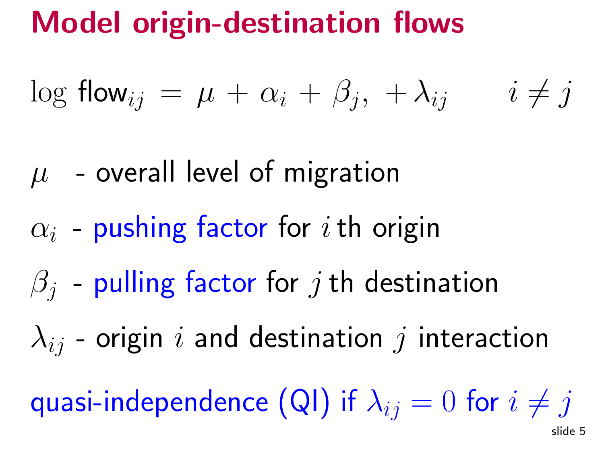# Model origin-destination flows

$$
\log \mathsf{flow}_{ij} = \mu + \alpha_i + \beta_j, \ +\lambda_{ij} \qquad i \neq j
$$

- $\mu$  $\mu$  - overall level of migration
- $\alpha_i$  -- pushing factor for  $i$  th origin
- $\beta_j$ - pulling factor for  $j$  th destination
- $\lambda_{ij}$  origin  $i$  and destination  $j$  interaction

quasi-independence (QI) if  $\lambda_{ij}=0$  for  $i\neq j$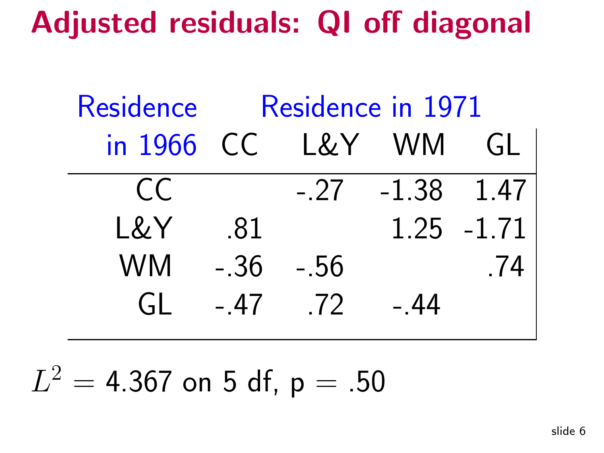Adjusted residuals: QI off diagonal

Residence Residence in 1971 in <sup>1966</sup> CC L&Y WM GL $CC$  -.27 -1.38 1.47 L&Y 81 1.25 -1.71 WM -.36 -.56 .74  $G1 - 47$   $72 - 44$ 

 $L^2$  <sup>=</sup> $4.367$  on 5 df, p  $= .50$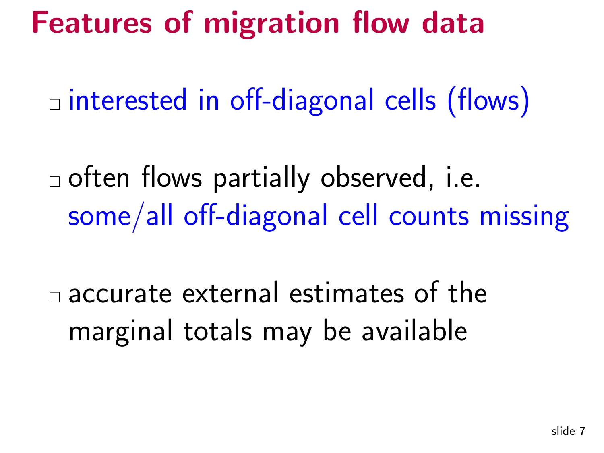#### Features of migration flow data

 $\overline{\phantom{a}}$  $\Box$  interested in off-diagonal cells (flows)

 $\Box$  often flows partially observed, i.e. some/all off-diagonal cell counts missing

 $\mathcal{L}_{\mathcal{A}}$  $\square$  accurate external estimates of the marginal totals may be available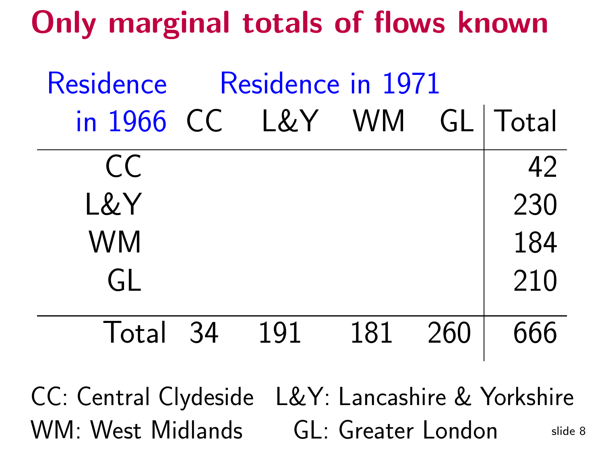# Only marginal totals of flows known

| <b>Residence</b>           | Residence in 1971 |         |     |
|----------------------------|-------------------|---------|-----|
| in 1966 CC L&Y WM GL Total |                   |         |     |
| CC                         |                   |         | 42  |
| L&Y                        |                   |         | 230 |
| <b>WM</b>                  |                   |         | 184 |
| GL                         |                   |         | 210 |
| Total 34                   | 191               | 181 260 | 666 |

slide <sup>8</sup>CC: Central Clydeside L&Y: Lancashire & YorkshireWM: West Midlands GL: Greater London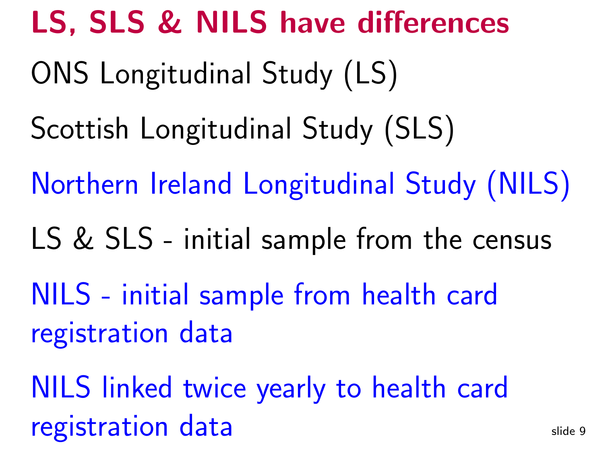LS, SLS & NILS have differencesslide <sup>9</sup>ONS Longitudinal Study (LS)Scottish Longitudinal Study (SLS)Northern Ireland Longitudinal Study (NILS)LS & SLS - initial sample from the censusNILS - initial sample from health cardregistration dataNILS linked twice yearly to health cardregistration data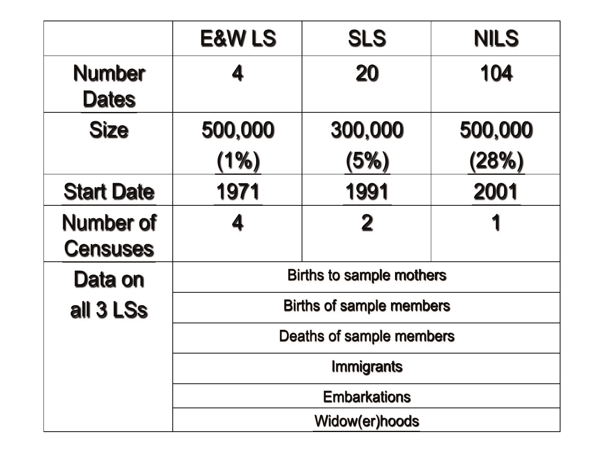|                                     | <b>E&amp;W LS</b> | <b>SLS</b>                      | <b>NILS</b> |  |
|-------------------------------------|-------------------|---------------------------------|-------------|--|
| <b>Number</b><br><b>Dates</b>       |                   | 20                              | 104         |  |
| <b>Size</b>                         | 500,000           | 300,000                         | 500,000     |  |
|                                     | (1%)              | (5%)                            | (28%)       |  |
| <b>Start Date</b>                   | 1971              | 1991                            | 2001        |  |
| <b>Number of</b><br><b>Censuses</b> |                   | $\bf{2}$                        |             |  |
| Data on                             |                   | <b>Births to sample mothers</b> |             |  |
| all 3 LSs                           |                   | <b>Births of sample members</b> |             |  |
|                                     |                   | Deaths of sample members        |             |  |
|                                     | <b>Immigrants</b> |                                 |             |  |
|                                     |                   | <b>Embarkations</b>             |             |  |
|                                     |                   | Widow(er)hoods                  |             |  |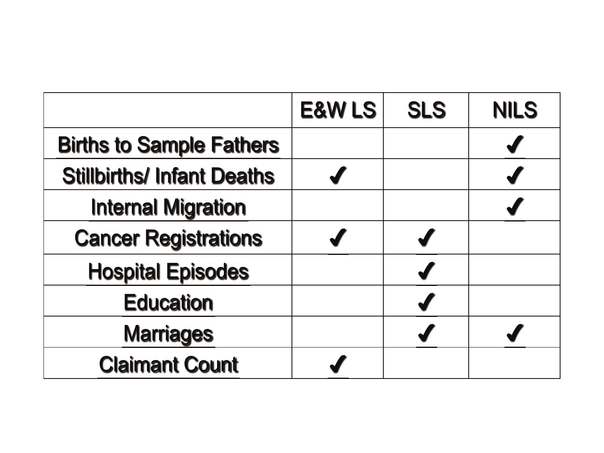|                                   | <b>E&amp;W LS</b> | <b>SLS</b> | <b>NILS</b> |
|-----------------------------------|-------------------|------------|-------------|
| <b>Births to Sample Fathers</b>   |                   |            |             |
| <b>Stillbirths/ Infant Deaths</b> |                   |            |             |
| <b>Internal Migration</b>         |                   |            |             |
| <b>Cancer Registrations</b>       |                   |            |             |
| <b>Hospital Episodes</b>          |                   |            |             |
| <b>Education</b>                  |                   |            |             |
| <b>Marriages</b>                  |                   |            |             |
| <b>Claimant Count</b>             |                   |            |             |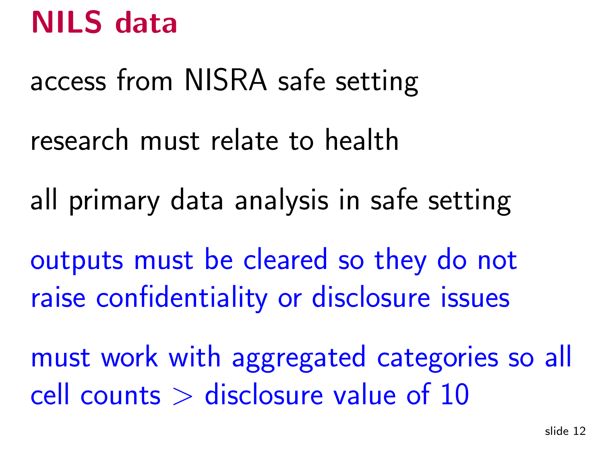# NILS data

access from NISRA safe setting

research must relate to health

all primary data analysis in safe setting

outputs must be cleared so they do notraise confidentiality or disclosure issues

must work with aggregated categories so all cell counts  $>$  disclosure value of 10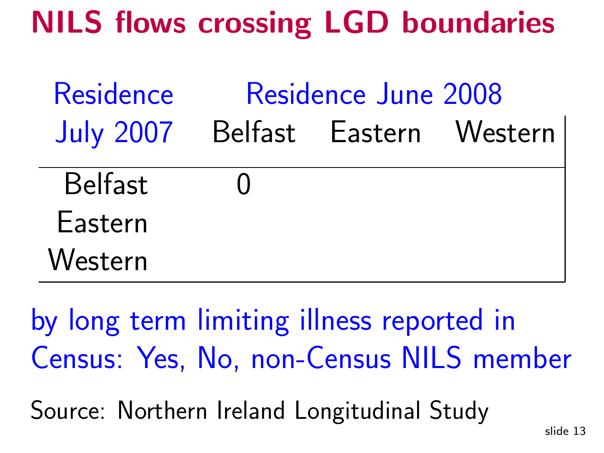# NILS flows crossing LGD boundaries

| Residence        |        | Residence June 2008     |  |
|------------------|--------|-------------------------|--|
| <b>July 2007</b> |        | Belfast Eastern Western |  |
| <b>Belfast</b>   | $\Box$ |                         |  |
| Eastern          |        |                         |  |
| Western          |        |                         |  |

by long term limiting illness reported inCensus: Yes, No, non-Census NILS member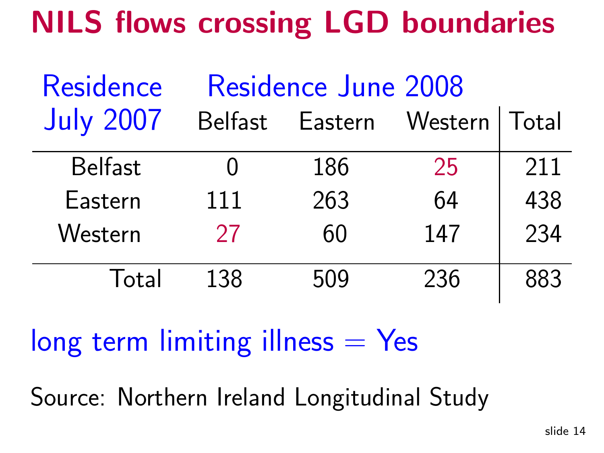# NILS flows crossing LGD boundaries

| Residence        | <b>Residence June 2008</b> |         |         |       |
|------------------|----------------------------|---------|---------|-------|
| <b>July 2007</b> | <b>Belfast</b>             | Eastern | Western | Total |
| <b>Belfast</b>   |                            | 186     | 25      | 211   |
| Eastern          | 111                        | 263     | 64      | 438   |
| Western          | 27                         | 60      | 147     | 234   |
| Total            | 138                        | 509     | 236     | 883   |

 $long$  term limiting illness  $=$  Yes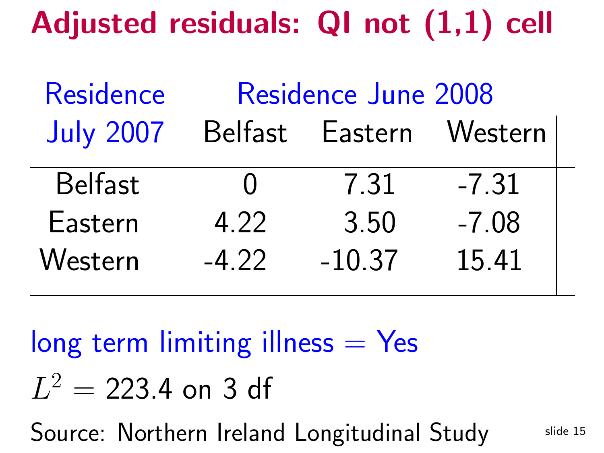Adjusted residuals: QI not (1,1) cell

| Residence        | Residence June 2008 |                 |         |  |
|------------------|---------------------|-----------------|---------|--|
| <b>July 2007</b> |                     | Belfast Eastern | Western |  |
| <b>Belfast</b>   | $\mathbf{\Omega}$   | 7.31            | $-7.31$ |  |
| Eastern          | 4.22                | 3.50            | $-7.08$ |  |
| Western          | $-4.22$             | $-10.37$        | 15.41   |  |

 $long$  term limiting illness  $=$  Yes  $L^2$  $\equiv$  223.4 on <sup>3</sup> df Source: Northern Ireland Longitudinal Study

slide <sup>15</sup>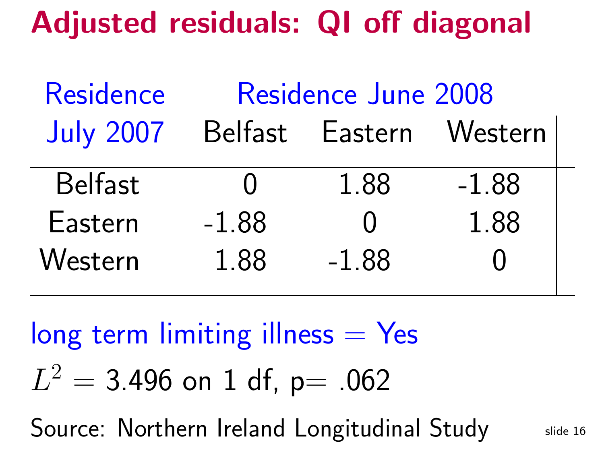### Adjusted residuals: QI off diagonal

| Residence        | Residence June 2008 |                  |         |  |
|------------------|---------------------|------------------|---------|--|
| <b>July 2007</b> |                     | Belfast Eastern  | Western |  |
| <b>Belfast</b>   | $\blacksquare$      | 1.88             | $-1.88$ |  |
| Eastern          | $-1.88$             | $\left( \right)$ | 1.88    |  |
| Western          | 1.88                | $-1.88$          |         |  |

 $long$  term limiting illness  $=$  Yes  $L^2$  $\equiv$ 3.496 on 1 df, p= .062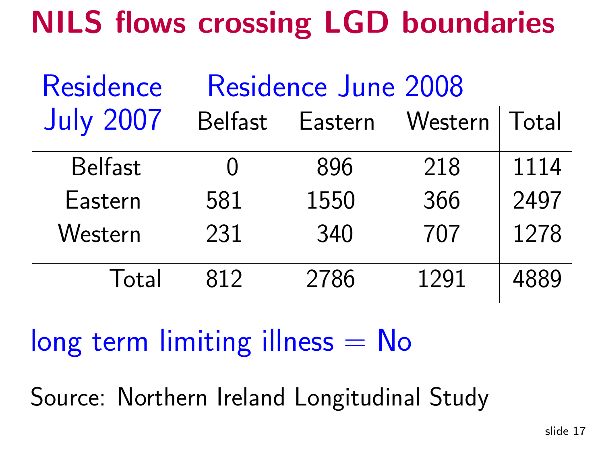# NILS flows crossing LGD boundaries

| Residence        | Residence June 2008 |         |         |       |
|------------------|---------------------|---------|---------|-------|
| <b>July 2007</b> | <b>Belfast</b>      | Eastern | Western | Total |
| <b>Belfast</b>   |                     | 896     | 218     | 1114  |
| Eastern          | 581                 | 1550    | 366     | 2497  |
| Western          | 231                 | 340     | 707     | 1278  |
| Total            | 812                 | 2786    | 1291    | 4889  |

 $long$  term limiting illness  $=$  No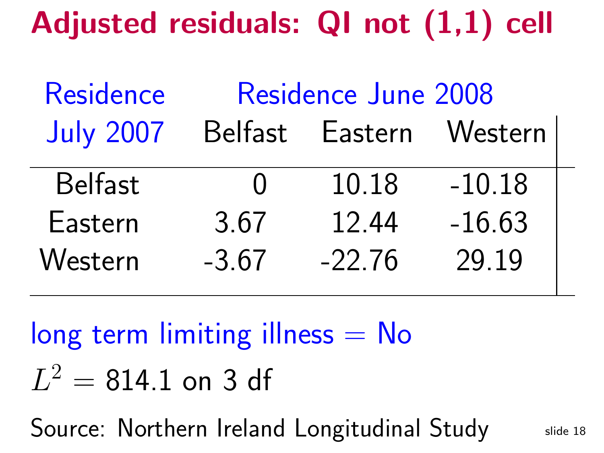Adjusted residuals: QI not (1,1) cell

| Residence        | Residence June 2008 |          |          |  |
|------------------|---------------------|----------|----------|--|
| <b>July 2007</b> | Belfast             | Eastern  | Western  |  |
| <b>Belfast</b>   | $\blacksquare$      | 10.18    | $-10.18$ |  |
| Eastern          | 3.67                | 12.44    | $-16.63$ |  |
| Western          | $-3.67$             | $-22.76$ | 29.19    |  |

 $\log$  term limiting illness  $=$  No  $L^2$  $\equiv$ 814.1 on <sup>3</sup> df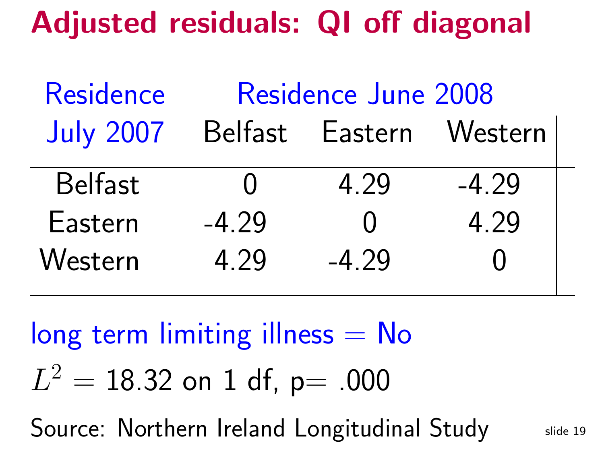#### Adjusted residuals: QI off diagonal

| <b>Residence</b> | <b>Residence June 2008</b> |                 |                     |  |
|------------------|----------------------------|-----------------|---------------------|--|
| <b>July 2007</b> |                            | Belfast Eastern | Western             |  |
| <b>Belfast</b>   | $\mathbf{\Omega}$          | 4.29            | $-4.29$             |  |
| Eastern          | $-4.29$                    | $\bigcap$       | 4.29                |  |
| Western          | 4.29                       | $-4.29$         | $\mathbf \mathbf 1$ |  |

#### $\log$  term limiting illness  $=$  No  $L^2$  $\equiv$ 18.32 on <sup>1</sup> df, p= .000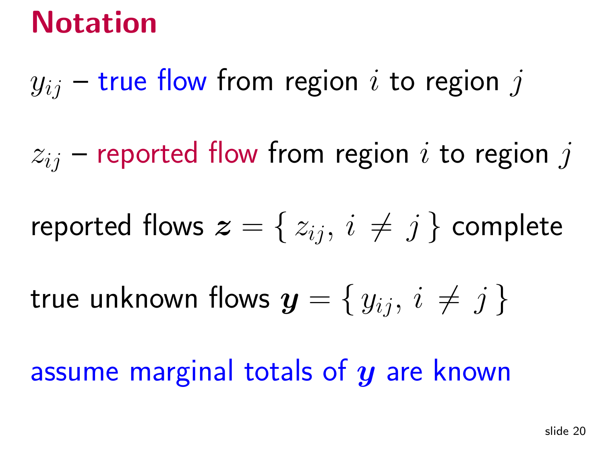# Notation

# $y_{ij}$  – true flow from region  $i$  to region  $j$

 $z_{ij}$  – reported flow from region  $i$  to region  $j$ 

$$
\textsf{reported flows } \bm{z} = \{\,z_{ij},\, i \,\neq\, j\,\} \text{ complete}
$$

true unknown flows  $\boldsymbol{y} = \set{y_{ij},\, i\,\neq\, j}$ 

assume marginal totals of  $\boldsymbol{y}$  are known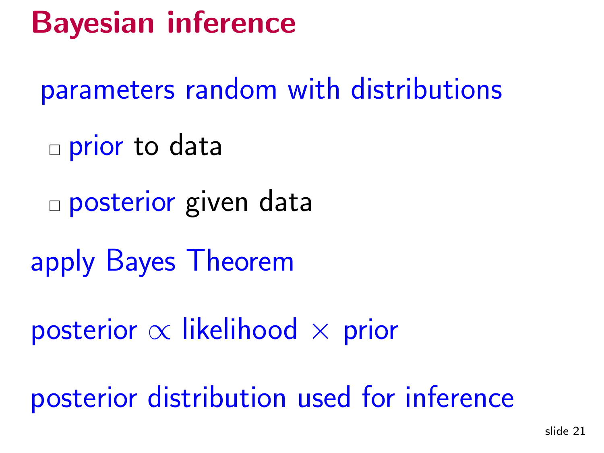# Bayesian inference

parameters random with distributions

- □ prior to data
- □ posterior given data
- apply Bayes Theorem
- posterior  $\propto$  $\propto$  likelihood  $\times$  prior

posterior distribution used for inference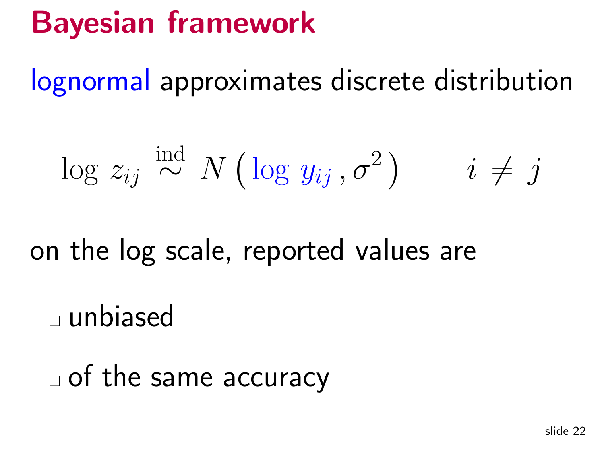# Bayesian framework

lognormal approximates discrete distribution

$$
\log z_{ij} \stackrel{\text{ind}}{\sim} N\left(\log y_{ij}, \sigma^2\right) \qquad i \neq j
$$

on the log scale, reported values are

 $\square$  unbiased

 $\Box$  of the same accuracy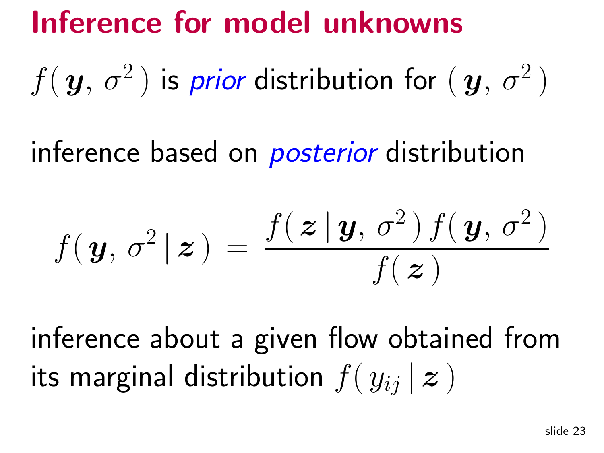### Inference for model unknowns

 $f(\,\boldsymbol{y},\, \sigma^2)$ 2) is prior distribution for  $(\bm{y},\,\sigma^2)$ 2)

inference based on *posterior* distribution

$$
f(\mathbf{y},\,\sigma^2\,|\,\boldsymbol{z}\,) \,=\, \frac{f(\,\boldsymbol{z}\,|\,\boldsymbol{y},\,\sigma^2)\,f(\,\boldsymbol{y},\,\sigma^2\,)}{f(\,\boldsymbol{z}\,)}
$$

inference about <sup>a</sup> <sup>g</sup>iven flow obtained fromits marginal distribution  $f(\left|y_{ij}\right|\boldsymbol{z})$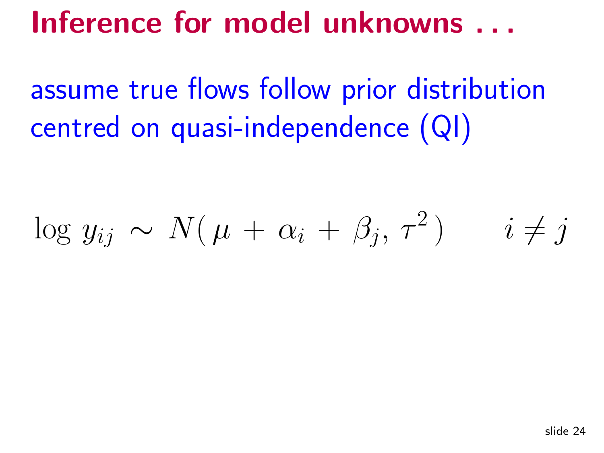#### Inference for model unknowns . . .

assume true flows follow prior distributioncentred on quasi-independence (QI)

$$
\log y_{ij} \sim N(\mu + \alpha_i + \beta_j, \tau^2) \qquad i \neq j
$$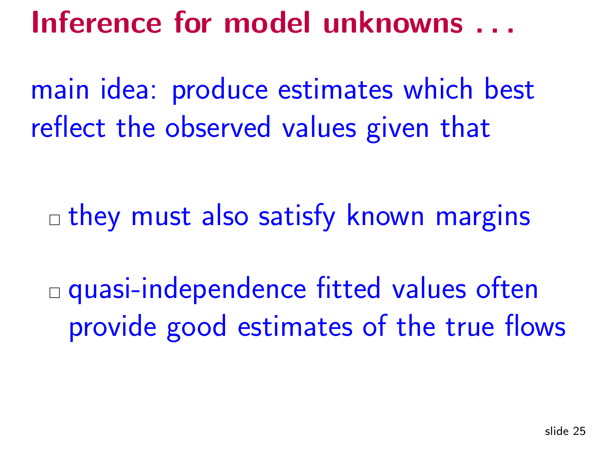Inference for model unknowns . . .

main idea: produce estimates which bestreflect the observed values <sup>g</sup>iven that

 $\Box$  they must also satisfy known margins

 quasi-independence fitted values oftenprovide goo<sup>d</sup> estimates of the true flows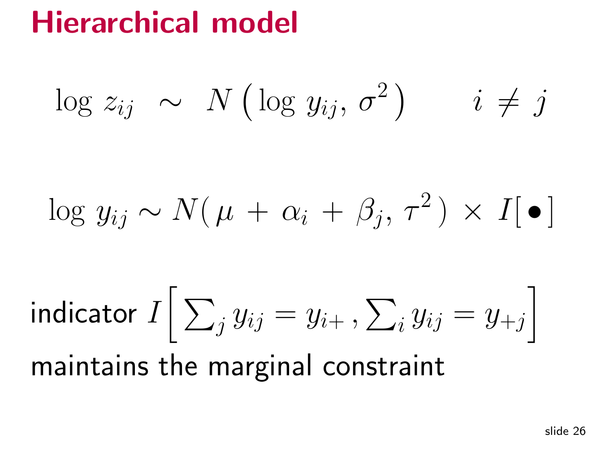### Hierarchical model

$$
\log z_{ij} \sim N(\log y_{ij}, \sigma^2) \qquad i \neq j
$$

$$
\log y_{ij} \sim N(\mu + \alpha_i + \beta_j, \tau^2) \times I[\bullet]
$$

indicator $\, I \,$  $I\Big[$  $\sum_j y_{ij}$  $=y$  $\it i$  $+$  ,  $\sum_i$  $y_{ij}$  $=y$  $+j$ i maintains the marginal constraint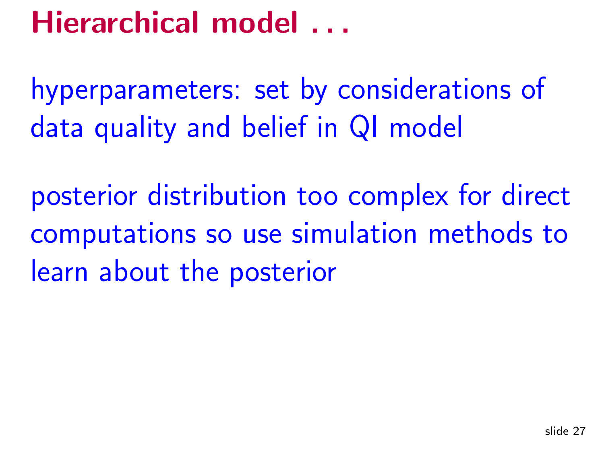# Hierarchical model ...

hyperparameters: set by considerations of data quality and belief in QI model

posterior distribution too complex for directcomputations so use simulation methods tolearn about the posterior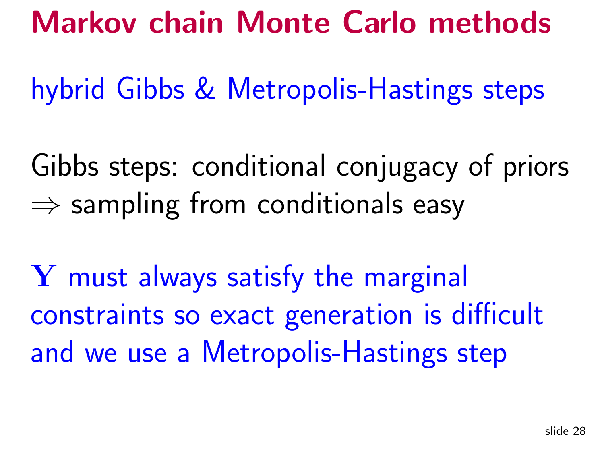#### Markov chain Monte Carlo methods

hybrid Gibbs & Metropolis-Hastings steps

Gibbs steps: conditional conjugacy of priors $\Rightarrow$  sampling from conditionals easy

Y must always satisfy the marginal constraints so exact generation is difficultand we use <sup>a</sup> Metropolis-Hastings step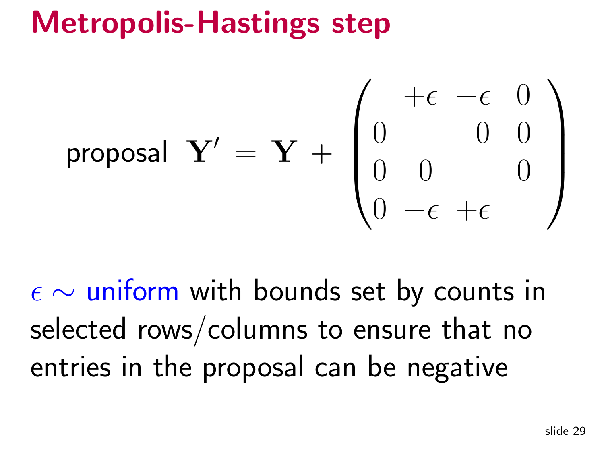#### Metropolis-Hastings step

proposal

\n
$$
\mathbf{Y}' = \mathbf{Y} + \begin{pmatrix} +\epsilon & -\epsilon & 0 \\ 0 & 0 & 0 \\ 0 & 0 & 0 \\ 0 & -\epsilon & +\epsilon \end{pmatrix}
$$

ǫ∼ $\sim$  uniform with bounds set by counts in selected rows/columns to ensure that noentries in the proposa<sup>l</sup> can be negative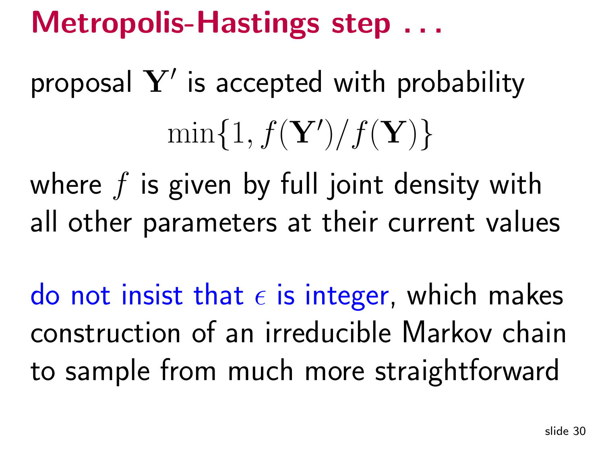# Metropolis-Hastings step ...

proposal  $\mathbf{Y}'$  is accepted with probability  $\min\{1,f(\mathbf{Y}^{\prime}% )\}_{if\in\mathbb{Z}_{+}^{d},\left| \mathcal{F}% \right| <\frac{1}{4}\text{min}\{1,f(\mathbf{Y}^{\prime},\mathbf{Y}^{\prime})\}_{if\in\mathbb{Z}_{+}^{d},\left| \mathcal{F}% \right| <\frac{1}{4}\text{min}\{1,f(\mathbf{Y}^{\prime},\mathbf{Y}^{\prime})\}_{if\in\mathbb{Z}_{+}^{d},\left| \mathcal{F}% \right| <\frac{1}{4}\text{min}\{1,f(\mathbf{Y}^{\prime},\mathbf{Y}^{\prime})\}_{if\in\mathbb{Z}_{+}^{$  $)/f(\mathbf{Y})\}$ 

where  $f$  is given by full joint density with all other parameters at their current values

do not insist thatǫ $\epsilon$  is integer, which makes construction of an irreducible Markov chainto sample from much more straightforward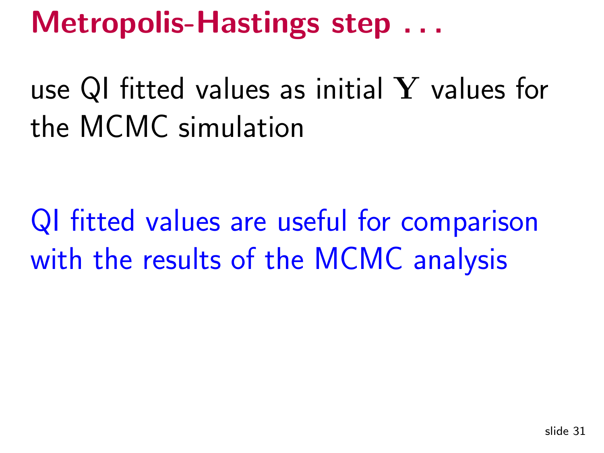# Metropolis-Hastings step ...

use QI fitted values as initial Y values for<br>the MCMC simulation the MCMC simulation

QI fitted values are useful for comparisonwith the results of the MCMC analysis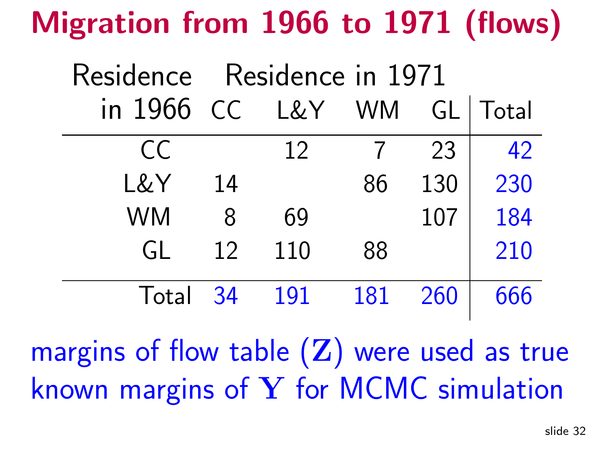# Migration from <sup>1966</sup> to <sup>1971</sup> (flows)

|            | Residence Residence in 1971 |        |     |     |       |
|------------|-----------------------------|--------|-----|-----|-------|
| in 1966 CC |                             | L&Y WM |     | GL  | Total |
| CC         |                             | 12     |     | 23  | 42    |
| L&Y        | 14                          |        | 86  | 130 | 230   |
| <b>WM</b>  | 8                           | 69     |     | 107 | 184   |
| GL         | 12                          | 110    | 88  |     | 210   |
| Total 34   |                             | 191    | 181 | 260 | 666   |

margins of flow table  $(\mathbf{Z})$  were used as true known margins of Y for MCMC simulation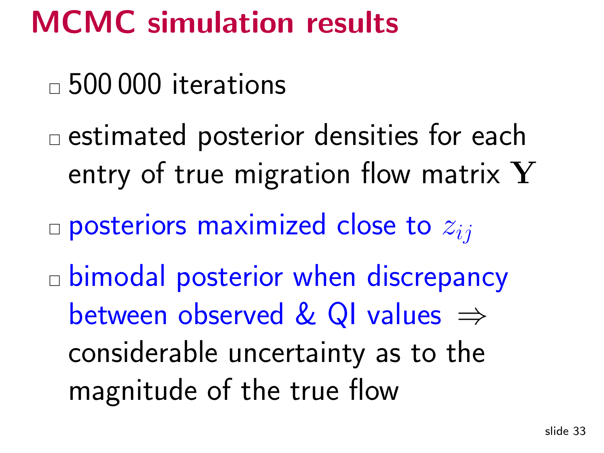#### MCMC simulation results

 $_\square$  500 000 iterations

 $\Box$  estimated posterior densities for each entry of true migration flow matrix  $\mathbf{{Y}}$ 

 $\Box$  posteriors maximized close to  $z_{ij}$ 

 $\mathcal{L}_{\mathcal{A}}$  bimodal posterior when discrepancybetween observed & QI values  $\Rightarrow$ considerable uncertainty as to themagnitude of the true flow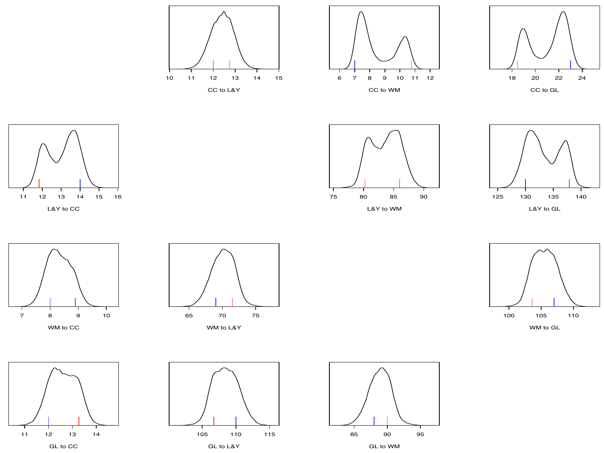















WM to L&Y













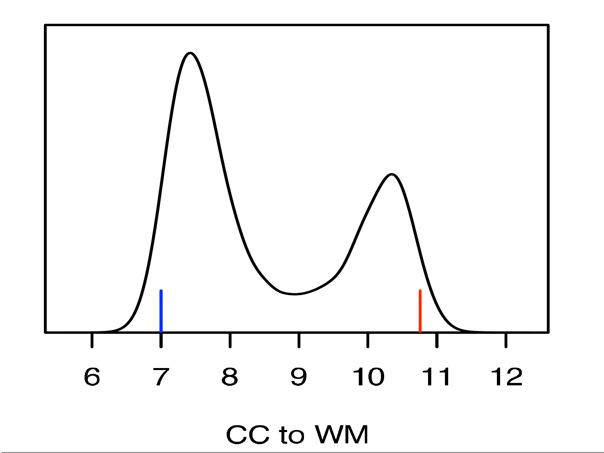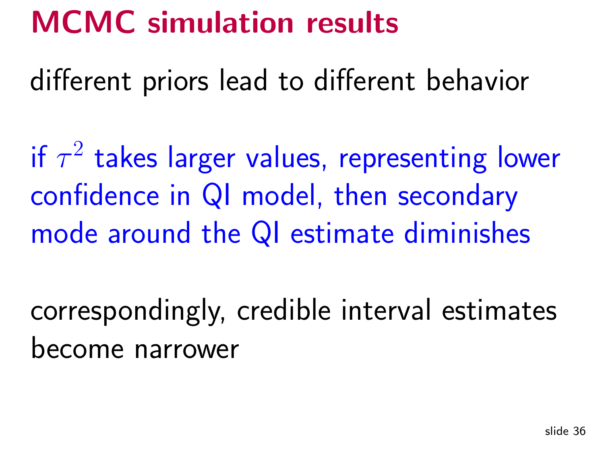#### MCMC simulation results

different priors lead to different behavior

if  $\tau$  $2$  takes larger values, representing lower confidence in QI model, then secondarymode around the QI estimate diminishes

correspondingly, credible interval estimatesbecome narrower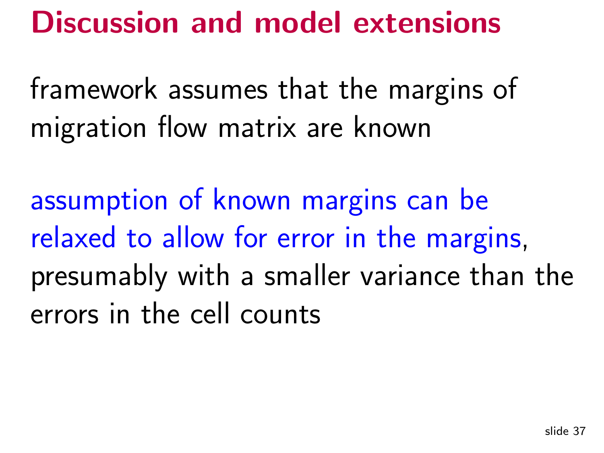#### Discussion and model extensions

framework assumes that the margins of migration flow matrix are known

assumption of known margins can berelaxed to allow for error in the margins, presumably with <sup>a</sup> smaller variance than theerrors in the cell counts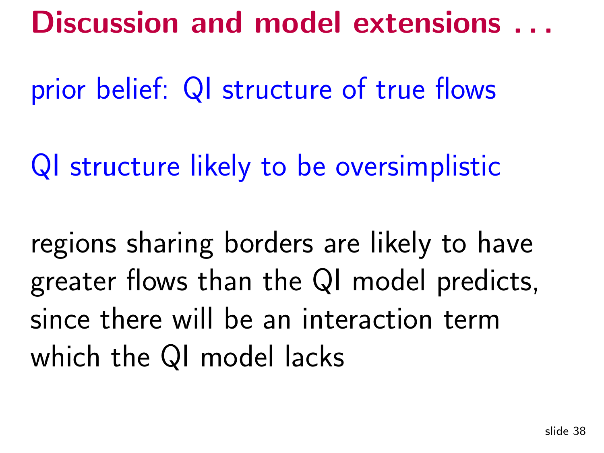#### Discussion and model extensions . . .

prior belief: QI structure of true flows

QI structure likely to be oversimplistic

regions sharing borders are likely to havegreater flows than the QI model predicts, since there will be an interaction termwhich the QI model lacks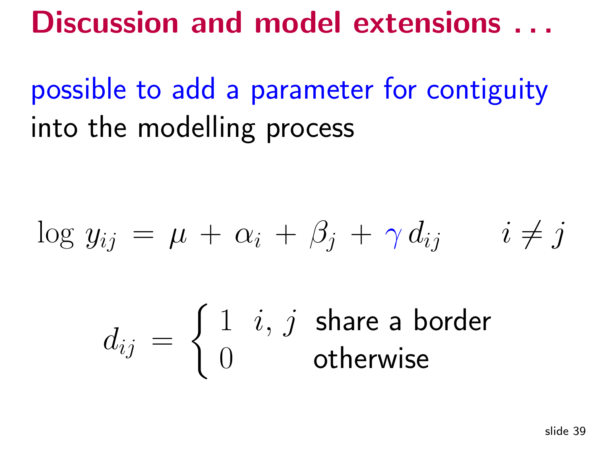Discussion and model extensions ...

possible to add <sup>a</sup> parameter for contiguityinto the modelling process

$$
\log y_{ij} = \mu + \alpha_i + \beta_j + \gamma d_{ij} \qquad i \neq j
$$

$$
d_{ij} = \begin{cases} 1 & i, j \text{ share a border} \\ 0 & \text{otherwise} \end{cases}
$$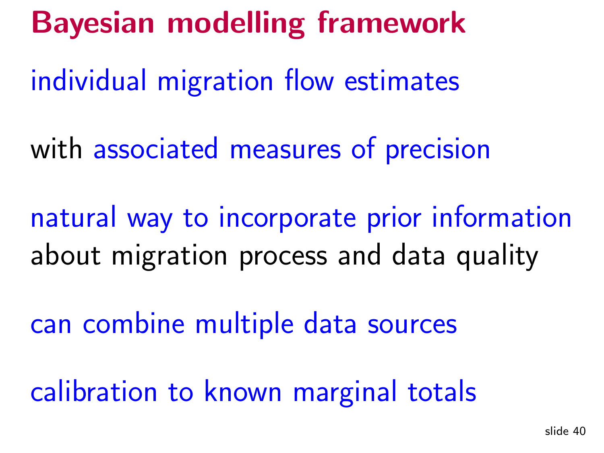# Bayesian modelling framework

individual migration flow estimates

with associated measures of precision

natural way to incorporate prior informationabout migration process and data quality

can combine multiple data sources

calibration to known marginal totals